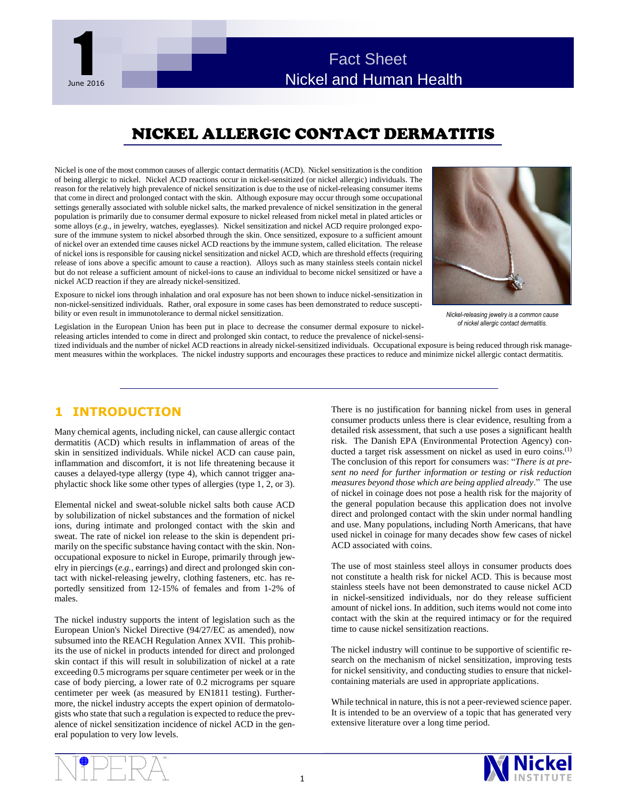

# NICKEL ALLERGIC CONTACT DERMATITIS

Nickel is one of the most common causes of allergic contact dermatitis (ACD). Nickel sensitization is the condition of being allergic to nickel. Nickel ACD reactions occur in nickel-sensitized (or nickel allergic) individuals. The reason for the relatively high prevalence of nickel sensitization is due to the use of nickel-releasing consumer items that come in direct and prolonged contact with the skin. Although exposure may occur through some occupational settings generally associated with soluble nickel salts, the marked prevalence of nickel sensitization in the general population is primarily due to consumer dermal exposure to nickel released from nickel metal in plated articles or some alloys (*e.g.*, in jewelry, watches, eyeglasses). Nickel sensitization and nickel ACD require prolonged exposure of the immune system to nickel absorbed through the skin. Once sensitized, exposure to a sufficient amount of nickel over an extended time causes nickel ACD reactions by the immune system, called elicitation. The release of nickel ions is responsible for causing nickel sensitization and nickel ACD, which are threshold effects (requiring release of ions above a specific amount to cause a reaction). Alloys such as many stainless steels contain nickel but do not release a sufficient amount of nickel-ions to cause an individual to become nickel sensitized or have a nickel ACD reaction if they are already nickel-sensitized. in is one of<br>the signal signal signal<br>gives a general signals in the signal<br>signal signal signals of a signal signal signal signals of a signal signal signal signal signals of a signal s kel ions i<br>
e of ions<br>
b not rele<br>
ACD re<br>
sure to ni

Exposure to nickel ions through inhalation and oral exposure has not been shown to induce nickel-sensitization in non-nickel-sensitized individuals. Rather, oral exposure in some cases has been demonstrated to reduce susceptibility or even result in immunotolerance to dermal nickel sensitization.



*Nickel-releasing jewelry is a common cause of nickel allergic contact dermatitis.*

Legislation in the European Union has been put in place to decrease the consumer dermal exposure to nickelreleasing articles intended to come in direct and prolonged skin contact, to reduce the prevalence of nickel-sensi-

tized individuals and the number of nickel ACD reactions in already nickel-sensitized individuals. Occupational exposure is being reduced through risk management measures within the workplaces. The nickel industry supports and encourages these practices to reduce and minimize nickel allergic contact dermatitis.

#### **1 INTRODUCTION**

Many chemical agents, including nickel, can cause allergic contact dermatitis (ACD) which results in inflammation of areas of the skin in sensitized individuals. While nickel ACD can cause pain, inflammation and discomfort, it is not life threatening because it causes a delayed-type allergy (type 4), which cannot trigger anaphylactic shock like some other types of allergies (type 1, 2, or 3).

Elemental nickel and sweat-soluble nickel salts both cause ACD by solubilization of nickel substances and the formation of nickel ions, during intimate and prolonged contact with the skin and sweat. The rate of nickel ion release to the skin is dependent primarily on the specific substance having contact with the skin. Nonoccupational exposure to nickel in Europe, primarily through jewelry in piercings (*e.g.*, earrings) and direct and prolonged skin contact with nickel-releasing jewelry, clothing fasteners, etc. has reportedly sensitized from 12-15% of females and from 1-2% of males.

The nickel industry supports the intent of legislation such as the European Union's Nickel Directive (94/27/EC as amended), now subsumed into the REACH Regulation Annex XVII. This prohibits the use of nickel in products intended for direct and prolonged skin contact if this will result in solubilization of nickel at a rate exceeding 0.5 micrograms per square centimeter per week or in the case of body piercing, a lower rate of 0.2 micrograms per square centimeter per week (as measured by EN1811 testing). Furthermore, the nickel industry accepts the expert opinion of dermatologists who state that such a regulation is expected to reduce the prevalence of nickel sensitization incidence of nickel ACD in the general population to very low levels.

There is no justification for banning nickel from uses in general consumer products unless there is clear evidence, resulting from a detailed risk assessment, that such a use poses a significant health risk. The Danish EPA (Environmental Protection Agency) conducted a target risk assessment on nickel as used in euro coins.<sup>(1)</sup> The conclusion of this report for consumers was: "*There is at present no need for further information or testing or risk reduction measures beyond those which are being applied already*." The use of nickel in coinage does not pose a health risk for the majority of the general population because this application does not involve direct and prolonged contact with the skin under normal handling and use. Many populations, including North Americans, that have used nickel in coinage for many decades show few cases of nickel ACD associated with coins.

The use of most stainless steel alloys in consumer products does not constitute a health risk for nickel ACD. This is because most stainless steels have not been demonstrated to cause nickel ACD in nickel-sensitized individuals, nor do they release sufficient amount of nickel ions. In addition, such items would not come into contact with the skin at the required intimacy or for the required time to cause nickel sensitization reactions.

The nickel industry will continue to be supportive of scientific research on the mechanism of nickel sensitization, improving tests for nickel sensitivity, and conducting studies to ensure that nickelcontaining materials are used in appropriate applications.

While technical in nature, this is not a peer-reviewed science paper. It is intended to be an overview of a topic that has generated very extensive literature over a long time period.

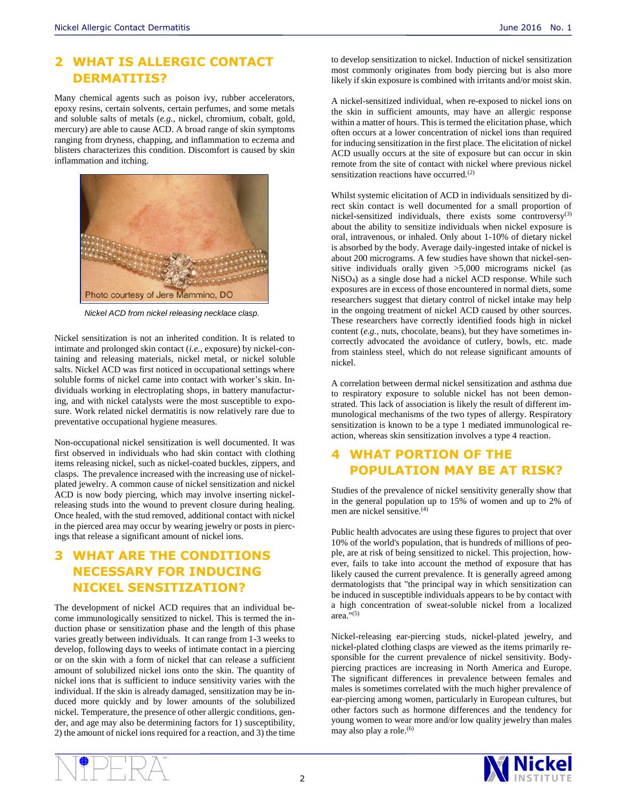#### **2 WHAT IS ALLERGIC CONTACT DERMATITIS?**

Many chemical agents such as poison ivy, rubber accelerators, epoxy resins, certain solvents, certain perfumes, and some metals and soluble salts of metals (*e.g.,* nickel, chromium, cobalt, gold, mercury) are able to cause ACD. A broad range of skin symptoms ranging from dryness, chapping, and inflammation to eczema and blisters characterizes this condition. Discomfort is caused by skin inflammation and itching.



*Nickel ACD from nickel releasing necklace clasp.*

Nickel sensitization is not an inherited condition. It is related to intimate and prolonged skin contact (*i.e.*, exposure) by nickel-containing and releasing materials, nickel metal, or nickel soluble salts. Nickel ACD was first noticed in occupational settings where soluble forms of nickel came into contact with worker's skin. Individuals working in electroplating shops, in battery manufacturing, and with nickel catalysts were the most susceptible to exposure. Work related nickel dermatitis is now relatively rare due to preventative occupational hygiene measures.

Non-occupational nickel sensitization is well documented. It was first observed in individuals who had skin contact with clothing items releasing nickel, such as nickel-coated buckles, zippers, and clasps. The prevalence increased with the increasing use of nickelplated jewelry. A common cause of nickel sensitization and nickel ACD is now body piercing, which may involve inserting nickelreleasing studs into the wound to prevent closure during healing. Once healed, with the stud removed, additional contact with nickel in the pierced area may occur by wearing jewelry or posts in piercings that release a significant amount of nickel ions.

# **3 WHAT ARE THE CONDITIONS NECESSARY FOR INDUCING NICKEL SENSITIZATION?**

The development of nickel ACD requires that an individual become immunologically sensitized to nickel. This is termed the induction phase or sensitization phase and the length of this phase varies greatly between individuals. It can range from 1-3 weeks to develop, following days to weeks of intimate contact in a piercing or on the skin with a form of nickel that can release a sufficient amount of solubilized nickel ions onto the skin. The quantity of nickel ions that is sufficient to induce sensitivity varies with the individual. If the skin is already damaged, sensitization may be induced more quickly and by lower amounts of the solubilized nickel. Temperature, the presence of other allergic conditions, gender, and age may also be determining factors for 1) susceptibility, 2) the amount of nickel ions required for a reaction, and 3) the time

to develop sensitization to nickel. Induction of nickel sensitization most commonly originates from body piercing but is also more likely if skin exposure is combined with irritants and/or moist skin.

A nickel-sensitized individual, when re-exposed to nickel ions on the skin in sufficient amounts, may have an allergic response within a matter of hours. This is termed the elicitation phase, which often occurs at a lower concentration of nickel ions than required for inducing sensitization in the first place. The elicitation of nickel ACD usually occurs at the site of exposure but can occur in skin remote from the site of contact with nickel where previous nickel sensitization reactions have occurred.<sup>(2)</sup>

Whilst systemic elicitation of ACD in individuals sensitized by direct skin contact is well documented for a small proportion of nickel-sensitized individuals, there exists some controversy(3) about the ability to sensitize individuals when nickel exposure is oral, intravenous, or inhaled. Only about 1-10% of dietary nickel is absorbed by the body. Average daily-ingested intake of nickel is about 200 micrograms. A few studies have shown that nickel-sensitive individuals orally given >5,000 micrograms nickel (as NiSO4) as a single dose had a nickel ACD response. While such exposures are in excess of those encountered in normal diets, some researchers suggest that dietary control of nickel intake may help in the ongoing treatment of nickel ACD caused by other sources. These researchers have correctly identified foods high in nickel content (*e.g.*, nuts, chocolate, beans), but they have sometimes incorrectly advocated the avoidance of cutlery, bowls, etc. made from stainless steel, which do not release significant amounts of nickel.

A correlation between dermal nickel sensitization and asthma due to respiratory exposure to soluble nickel has not been demonstrated. This lack of association is likely the result of different immunological mechanisms of the two types of allergy. Respiratory sensitization is known to be a type 1 mediated immunological reaction, whereas skin sensitization involves a type 4 reaction.

# **4 WHAT PORTION OF THE POPULATION MAY BE AT RISK?**

Studies of the prevalence of nickel sensitivity generally show that in the general population up to 15% of women and up to 2% of men are nickel sensitive.(4)

Public health advocates are using these figures to project that over 10% of the world's population, that is hundreds of millions of people, are at risk of being sensitized to nickel. This projection, however, fails to take into account the method of exposure that has likely caused the current prevalence. It is generally agreed among dermatologists that "the principal way in which sensitization can be induced in susceptible individuals appears to be by contact with a high concentration of sweat-soluble nickel from a localized area."(5)

Nickel-releasing ear-piercing studs, nickel-plated jewelry, and nickel-plated clothing clasps are viewed as the items primarily responsible for the current prevalence of nickel sensitivity. Bodypiercing practices are increasing in North America and Europe. The significant differences in prevalence between females and males is sometimes correlated with the much higher prevalence of ear-piercing among women, particularly in European cultures, but other factors such as hormone differences and the tendency for young women to wear more and/or low quality jewelry than males may also play a role.<sup>(6)</sup>



2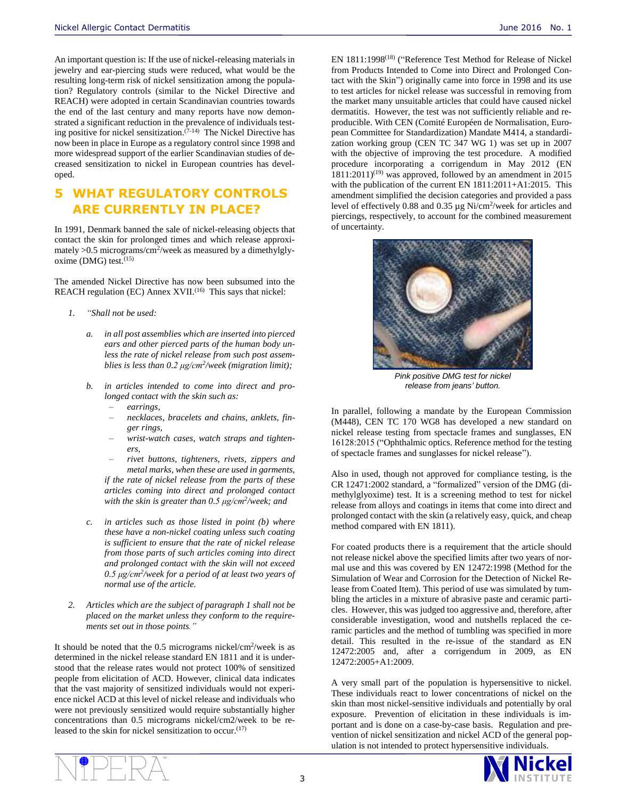An important question is: If the use of nickel-releasing materials in jewelry and ear-piercing studs were reduced, what would be the resulting long-term risk of nickel sensitization among the population? Regulatory controls (similar to the Nickel Directive and REACH) were adopted in certain Scandinavian countries towards the end of the last century and many reports have now demonstrated a significant reduction in the prevalence of individuals testing positive for nickel sensitization. (7-14) The Nickel Directive has now been in place in Europe as a regulatory control since 1998 and more widespread support of the earlier Scandinavian studies of decreased sensitization to nickel in European countries has developed.

### **5 WHAT REGULATORY CONTROLS ARE CURRENTLY IN PLACE?**

In 1991, Denmark banned the sale of nickel-releasing objects that contact the skin for prolonged times and which release approximately >0.5 micrograms/cm<sup>2</sup>/week as measured by a dimethylglyoxime (DMG) test. $(15)$ 

The amended Nickel Directive has now been subsumed into the REACH regulation (EC) Annex XVII.<sup>(16)</sup> This says that nickel:

- *1. "Shall not be used:*
	- *a. in all post assemblies which are inserted into pierced ears and other pierced parts of the human body unless the rate of nickel release from such post assemblies is less than 0.2 μg/cm<sup>2</sup> /week (migration limit);*
	- *b. in articles intended to come into direct and prolonged contact with the skin such as:*
		- *earrings,*
		- *necklaces, bracelets and chains, anklets, finger rings,*
		- *wrist-watch cases, watch straps and tighteners,*
		- *rivet buttons, tighteners, rivets, zippers and metal marks, when these are used in garments, if the rate of nickel release from the parts of these articles coming into direct and prolonged contact with the skin is greater than 0.5 μg/cm<sup>2</sup> /week; and*
	- *c. in articles such as those listed in point (b) where these have a non-nickel coating unless such coating is sufficient to ensure that the rate of nickel release from those parts of such articles coming into direct and prolonged contact with the skin will not exceed 0.5 μg/cm<sup>2</sup> /week for a period of at least two years of normal use of the article.*
- *2. Articles which are the subject of paragraph 1 shall not be placed on the market unless they conform to the requirements set out in those points."*

It should be noted that the  $0.5$  micrograms nickel/cm<sup>2</sup>/week is as determined in the nickel release standard EN 1811 and it is understood that the release rates would not protect 100% of sensitized people from elicitation of ACD. However, clinical data indicates that the vast majority of sensitized individuals would not experience nickel ACD at this level of nickel release and individuals who were not previously sensitized would require substantially higher concentrations than 0.5 micrograms nickel/cm2/week to be released to the skin for nickel sensitization to occur.<sup>(17)</sup>

EN 1811:1998<sup>(18)</sup> ("Reference Test Method for Release of Nickel from Products Intended to Come into Direct and Prolonged Contact with the Skin") originally came into force in 1998 and its use to test articles for nickel release was successful in removing from the market many unsuitable articles that could have caused nickel dermatitis. However, the test was not sufficiently reliable and reproducible. With CEN (Comité Européen de Normalisation, European Committee for Standardization) Mandate M414, a standardization working group (CEN TC 347 WG 1) was set up in 2007 with the objective of improving the test procedure. A modified procedure incorporating a corrigendum in May 2012 (EN  $1811:2011$ <sup>(19)</sup> was approved, followed by an amendment in 2015 with the publication of the current EN  $1811:2011+A1:2015$ . This amendment simplified the decision categories and provided a pass level of effectively 0.88 and 0.35 µg Ni/cm<sup>2</sup>/week for articles and piercings, respectively, to account for the combined measurement of uncertainty.



*Pink positive DMG test for nickel release from jeans' button.*

In parallel, following a mandate by the European Commission (M448), CEN TC 170 WG8 has developed a new standard on nickel release testing from spectacle frames and sunglasses, EN 16128:2015 ("Ophthalmic optics. Reference method for the testing of spectacle frames and sunglasses for nickel release").

Also in used, though not approved for compliance testing, is the CR 12471:2002 standard, a "formalized" version of the DMG (dimethylglyoxime) test. It is a screening method to test for nickel release from alloys and coatings in items that come into direct and prolonged contact with the skin (a relatively easy, quick, and cheap method compared with EN 1811).

For coated products there is a requirement that the article should not release nickel above the specified limits after two years of normal use and this was covered by EN 12472:1998 (Method for the Simulation of Wear and Corrosion for the Detection of Nickel Release from Coated Item). This period of use was simulated by tumbling the articles in a mixture of abrasive paste and ceramic particles. However, this was judged too aggressive and, therefore, after considerable investigation, wood and nutshells replaced the ceramic particles and the method of tumbling was specified in more detail. This resulted in the re-issue of the standard as EN 12472:2005 and, after a corrigendum in 2009, as EN 12472:2005+A1:2009.

A very small part of the population is hypersensitive to nickel. These individuals react to lower concentrations of nickel on the skin than most nickel-sensitive individuals and potentially by oral exposure. Prevention of elicitation in these individuals is important and is done on a case-by-case basis. Regulation and prevention of nickel sensitization and nickel ACD of the general population is not intended to protect hypersensitive individuals.

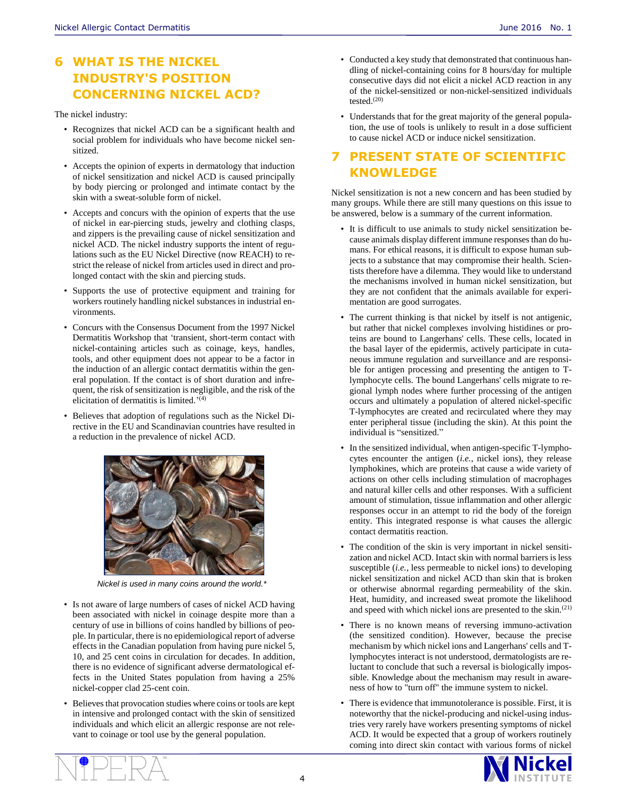# **6 WHAT IS THE NICKEL INDUSTRY'S POSITION CONCERNING NICKEL ACD?**

The nickel industry:

- Recognizes that nickel ACD can be a significant health and social problem for individuals who have become nickel sensitized.
- Accepts the opinion of experts in dermatology that induction of nickel sensitization and nickel ACD is caused principally by body piercing or prolonged and intimate contact by the skin with a sweat-soluble form of nickel.
- Accepts and concurs with the opinion of experts that the use of nickel in ear-piercing studs, jewelry and clothing clasps, and zippers is the prevailing cause of nickel sensitization and nickel ACD. The nickel industry supports the intent of regulations such as the EU Nickel Directive (now REACH) to restrict the release of nickel from articles used in direct and prolonged contact with the skin and piercing studs.
- Supports the use of protective equipment and training for workers routinely handling nickel substances in industrial environments.
- Concurs with the Consensus Document from the 1997 Nickel Dermatitis Workshop that 'transient, short-term contact with nickel-containing articles such as coinage, keys, handles, tools, and other equipment does not appear to be a factor in the induction of an allergic contact dermatitis within the general population. If the contact is of short duration and infrequent, the risk of sensitization is negligible, and the risk of the elicitation of dermatitis is limited.<sup>'(4)</sup>
- Believes that adoption of regulations such as the Nickel Directive in the EU and Scandinavian countries have resulted in a reduction in the prevalence of nickel ACD.



*Nickel is used in many coins around the world.\**

- Is not aware of large numbers of cases of nickel ACD having been associated with nickel in coinage despite more than a century of use in billions of coins handled by billions of people. In particular, there is no epidemiological report of adverse effects in the Canadian population from having pure nickel 5, 10, and 25 cent coins in circulation for decades. In addition, there is no evidence of significant adverse dermatological effects in the United States population from having a 25% nickel-copper clad 25-cent coin.
- Believes that provocation studies where coins or tools are kept in intensive and prolonged contact with the skin of sensitized individuals and which elicit an allergic response are not relevant to coinage or tool use by the general population.
- Conducted a key study that demonstrated that continuous handling of nickel-containing coins for 8 hours/day for multiple consecutive days did not elicit a nickel ACD reaction in any of the nickel-sensitized or non-nickel-sensitized individuals tested. $(20)$
- Understands that for the great majority of the general population, the use of tools is unlikely to result in a dose sufficient to cause nickel ACD or induce nickel sensitization.

### **7 PRESENT STATE OF SCIENTIFIC KNOWLEDGE**

Nickel sensitization is not a new concern and has been studied by many groups. While there are still many questions on this issue to be answered, below is a summary of the current information.

- It is difficult to use animals to study nickel sensitization because animals display different immune responses than do humans. For ethical reasons, it is difficult to expose human subjects to a substance that may compromise their health. Scientists therefore have a dilemma. They would like to understand the mechanisms involved in human nickel sensitization, but they are not confident that the animals available for experimentation are good surrogates.
- The current thinking is that nickel by itself is not antigenic, but rather that nickel complexes involving histidines or proteins are bound to Langerhans' cells. These cells, located in the basal layer of the epidermis, actively participate in cutaneous immune regulation and surveillance and are responsible for antigen processing and presenting the antigen to Tlymphocyte cells. The bound Langerhans' cells migrate to regional lymph nodes where further processing of the antigen occurs and ultimately a population of altered nickel-specific T-lymphocytes are created and recirculated where they may enter peripheral tissue (including the skin). At this point the individual is "sensitized."
- In the sensitized individual, when antigen-specific T-lymphocytes encounter the antigen (*i.e.*, nickel ions), they release lymphokines, which are proteins that cause a wide variety of actions on other cells including stimulation of macrophages and natural killer cells and other responses. With a sufficient amount of stimulation, tissue inflammation and other allergic responses occur in an attempt to rid the body of the foreign entity. This integrated response is what causes the allergic contact dermatitis reaction.
- The condition of the skin is very important in nickel sensitization and nickel ACD. Intact skin with normal barriers is less susceptible (*i.e.*, less permeable to nickel ions) to developing nickel sensitization and nickel ACD than skin that is broken or otherwise abnormal regarding permeability of the skin. Heat, humidity, and increased sweat promote the likelihood and speed with which nickel ions are presented to the skin.(21)
- There is no known means of reversing immuno-activation (the sensitized condition). However, because the precise mechanism by which nickel ions and Langerhans' cells and Tlymphocytes interact is not understood, dermatologists are reluctant to conclude that such a reversal is biologically impossible. Knowledge about the mechanism may result in awareness of how to "turn off" the immune system to nickel.
- There is evidence that immunotolerance is possible. First, it is noteworthy that the nickel-producing and nickel-using industries very rarely have workers presenting symptoms of nickel ACD. It would be expected that a group of workers routinely coming into direct skin contact with various forms of nickel

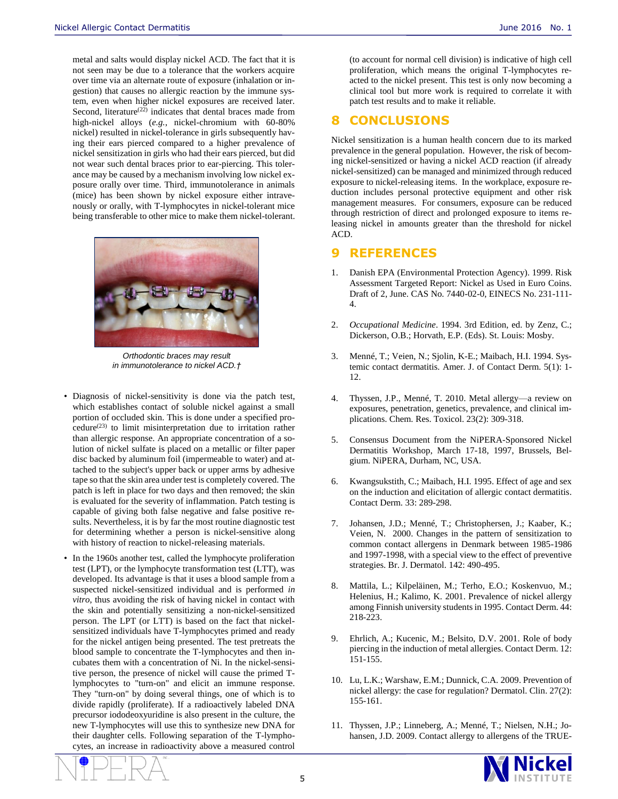metal and salts would display nickel ACD. The fact that it is not seen may be due to a tolerance that the workers acquire over time via an alternate route of exposure (inhalation or ingestion) that causes no allergic reaction by the immune system, even when higher nickel exposures are received later. Second, literature<sup>(22)</sup> indicates that dental braces made from high-nickel alloys (*e.g.*, nickel-chromium with 60-80% nickel) resulted in nickel-tolerance in girls subsequently having their ears pierced compared to a higher prevalence of nickel sensitization in girls who had their ears pierced, but did not wear such dental braces prior to ear-piercing. This tolerance may be caused by a mechanism involving low nickel exposure orally over time. Third, immunotolerance in animals (mice) has been shown by nickel exposure either intravenously or orally, with T-lymphocytes in nickel-tolerant mice being transferable to other mice to make them nickel-tolerant.



Photo b[y Hot Grill](http://www.flickr.com/photos/grill/2342733787/sizes/l/in/photostream) *Orthodontic braces may result in immunotolerance to nickel ACD.†*

- Diagnosis of nickel-sensitivity is done via the patch test, which establishes contact of soluble nickel against a small portion of occluded skin. This is done under a specified procedure<sup>(23)</sup> to limit misinterpretation due to irritation rather than allergic response. An appropriate concentration of a solution of nickel sulfate is placed on a metallic or filter paper disc backed by aluminum foil (impermeable to water) and attached to the subject's upper back or upper arms by adhesive tape so that the skin area under test is completely covered. The patch is left in place for two days and then removed; the skin is evaluated for the severity of inflammation. Patch testing is capable of giving both false negative and false positive results. Nevertheless, it is by far the most routine diagnostic test for determining whether a person is nickel-sensitive along with history of reaction to nickel-releasing materials.
- In the 1960s another test, called the lymphocyte proliferation test (LPT), or the lymphocyte transformation test (LTT), was developed. Its advantage is that it uses a blood sample from a suspected nickel-sensitized individual and is performed *in vitro*, thus avoiding the risk of having nickel in contact with the skin and potentially sensitizing a non-nickel-sensitized person. The LPT (or LTT) is based on the fact that nickelsensitized individuals have T-lymphocytes primed and ready for the nickel antigen being presented. The test pretreats the blood sample to concentrate the T-lymphocytes and then incubates them with a concentration of Ni. In the nickel-sensitive person, the presence of nickel will cause the primed Tlymphocytes to "turn-on" and elicit an immune response. They "turn-on" by doing several things, one of which is to divide rapidly (proliferate). If a radioactively labeled DNA precursor iododeoxyuridine is also present in the culture, the new T-lymphocytes will use this to synthesize new DNA for their daughter cells. Following separation of the T-lymphocytes, an increase in radioactivity above a measured control

(to account for normal cell division) is indicative of high cell proliferation, which means the original T-lymphocytes reacted to the nickel present. This test is only now becoming a clinical tool but more work is required to correlate it with patch test results and to make it reliable.

#### **8 CONCLUSIONS**

Nickel sensitization is a human health concern due to its marked prevalence in the general population. However, the risk of becoming nickel-sensitized or having a nickel ACD reaction (if already nickel-sensitized) can be managed and minimized through reduced exposure to nickel-releasing items. In the workplace, exposure reduction includes personal protective equipment and other risk management measures. For consumers, exposure can be reduced through restriction of direct and prolonged exposure to items releasing nickel in amounts greater than the threshold for nickel ACD.

#### **9 REFERENCES**

- 1. Danish EPA (Environmental Protection Agency). 1999. Risk Assessment Targeted Report: Nickel as Used in Euro Coins. Draft of 2, June. CAS No. 7440-02-0, EINECS No. 231-111- 4.
- 2. *Occupational Medicine*. 1994. 3rd Edition, ed. by Zenz, C.; Dickerson, O.B.; Horvath, E.P. (Eds). St. Louis: Mosby.
- 3. Menné, T.; Veien, N.; Sjolin, K-E.; Maibach, H.I. 1994. Systemic contact dermatitis. Amer. J. of Contact Derm. 5(1): 1- 12.
- 4. Thyssen, J.P., Menné, T. 2010. Metal allergy—a review on exposures, penetration, genetics, prevalence, and clinical implications. Chem. Res. Toxicol. 23(2): 309-318.
- 5. Consensus Document from the NiPERA-Sponsored Nickel Dermatitis Workshop, March 17-18, 1997, Brussels, Belgium. NiPERA, Durham, NC, USA.
- Kwangsukstith, C.; Maibach, H.I. 1995. Effect of age and sex on the induction and elicitation of allergic contact dermatitis. Contact Derm. 33: 289-298.
- 7. Johansen, J.D.; Menné, T.; Christophersen, J.; Kaaber, K.; Veien, N. 2000. Changes in the pattern of sensitization to common contact allergens in Denmark between 1985-1986 and 1997-1998, with a special view to the effect of preventive strategies. Br. J. Dermatol. 142: 490-495.
- 8. Mattila, L.; Kilpeläinen, M.; Terho, E.O.; Koskenvuo, M.; Helenius, H.; Kalimo, K. 2001. Prevalence of nickel allergy among Finnish university students in 1995. Contact Derm. 44: 218-223.
- 9. Ehrlich, A.; Kucenic, M.; Belsito, D.V. 2001. Role of body piercing in the induction of metal allergies. Contact Derm. 12: 151-155.
- 10. Lu, L.K.; Warshaw, E.M.; Dunnick, C.A. 2009. Prevention of nickel allergy: the case for regulation? Dermatol. Clin. 27(2): 155-161.
- 11. Thyssen, J.P.; Linneberg, A.; Menné, T.; Nielsen, N.H.; Johansen, J.D. 2009. Contact allergy to allergens of the TRUE-

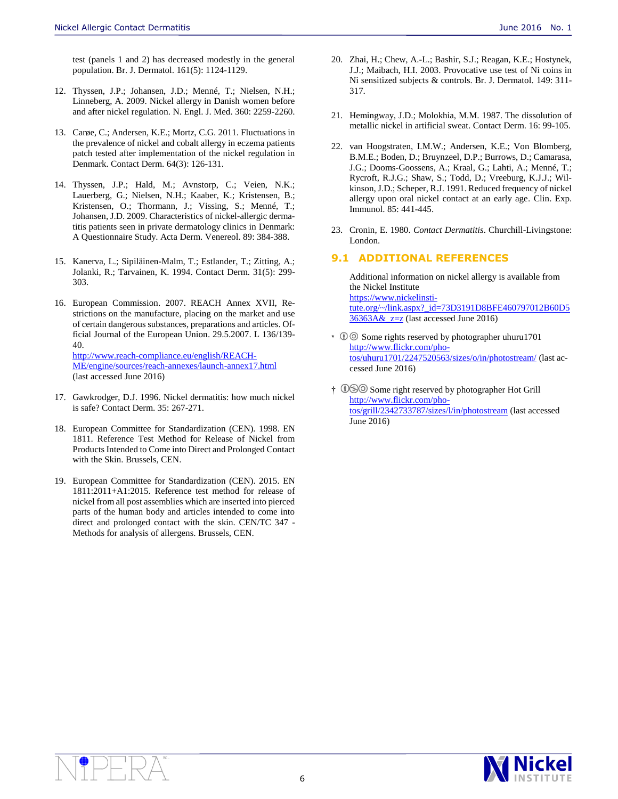- 12. Thyssen, J.P.; Johansen, J.D.; Menné, T.; Nielsen, N.H.; Linneberg, A. 2009. Nickel allergy in Danish women before and after nickel regulation. N. Engl. J. Med. 360: 2259-2260.
- 13. Carøe, C.; Andersen, K.E.; Mortz, C.G. 2011. Fluctuations in the prevalence of nickel and cobalt allergy in eczema patients patch tested after implementation of the nickel regulation in Denmark. Contact Derm. 64(3): 126-131.
- 14. Thyssen, J.P.; Hald, M.; Avnstorp, C.; Veien, N.K.; Lauerberg, G.; Nielsen, N.H.; Kaaber, K.; Kristensen, B.; Kristensen, O.; Thormann, J.; Vissing, S.; Menné, T.; Johansen, J.D. 2009. Characteristics of nickel-allergic dermatitis patients seen in private dermatology clinics in Denmark: A Questionnaire Study. Acta Derm. Venereol. 89: 384-388.
- 15. Kanerva, L.; Sipiläinen-Malm, T.; Estlander, T.; Zitting, A.; Jolanki, R.; Tarvainen, K. 1994. Contact Derm. 31(5): 299- 303.
- 16. European Commission. 2007. REACH Annex XVII, Restrictions on the manufacture, placing on the market and use of certain dangerous substances, preparations and articles. Official Journal of the European Union. 29.5.2007. L 136/139- 40.

[http://www.reach-compliance.eu/english/REACH-](http://www.reach-compliance.eu/english/REACH-ME/engine/sources/reach-annexes/launch-annex17.html)[ME/engine/sources/reach-annexes/launch-annex17.html](http://www.reach-compliance.eu/english/REACH-ME/engine/sources/reach-annexes/launch-annex17.html)  (last accessed June 2016)

- 17. Gawkrodger, D.J. 1996. Nickel dermatitis: how much nickel is safe? Contact Derm. 35: 267-271.
- 18. European Committee for Standardization (CEN). 1998. EN 1811. Reference Test Method for Release of Nickel from Products Intended to Come into Direct and Prolonged Contact with the Skin. Brussels, CEN.
- 19. European Committee for Standardization (CEN). 2015. EN 1811:2011+A1:2015. Reference test method for release of nickel from all post assemblies which are inserted into pierced parts of the human body and articles intended to come into direct and prolonged contact with the skin. CEN/TC 347 - Methods for analysis of allergens. Brussels, CEN.
- 20. Zhai, H.; Chew, A.-L.; Bashir, S.J.; Reagan, K.E.; Hostynek, J.J.; Maibach, H.I. 2003. Provocative use test of Ni coins in Ni sensitized subjects & controls. Br. J. Dermatol. 149: 311- 317.
- 21. Hemingway, J.D.; Molokhia, M.M. 1987. The dissolution of metallic nickel in artificial sweat. Contact Derm. 16: 99-105.
- 22. van Hoogstraten, I.M.W.; Andersen, K.E.; Von Blomberg, B.M.E.; Boden, D.; Bruynzeel, D.P.; Burrows, D.; Camarasa, J.G.; Dooms-Goossens, A.; Kraal, G.; Lahti, A.; Menné, T.; Rycroft, R.J.G.; Shaw, S.; Todd, D.; Vreeburg, K.J.J.; Wilkinson, J.D.; Scheper, R.J. 1991. Reduced frequency of nickel allergy upon oral nickel contact at an early age. Clin. Exp. Immunol. 85: 441-445.
- 23. Cronin, E. 1980. *Contact Dermatitis*. Churchill-Livingstone: London.

#### **9.1 ADDITIONAL REFERENCES**

Additional information on nickel allergy is available from the Nickel Institute [https://www.nickelinsti](https://www.nickelinstitute.org/~/link.aspx?_id=73D3191D8BFE460797012B60D536363A&_z=z)[tute.org/~/link.aspx?\\_id=73D3191D8BFE460797012B60D5](https://www.nickelinstitute.org/~/link.aspx?_id=73D3191D8BFE460797012B60D536363A&_z=z)  $36363A& z=z$  (last accessed June 2016)

- \*  $\circledR$  Some rights reserved by photographer uhuru1701 [http://www.flickr.com/pho](http://www.flickr.com/photos/uhuru1701/2247520563/sizes/o/in/photostream/)[tos/uhuru1701/2247520563/sizes/o/in/photostream/](http://www.flickr.com/photos/uhuru1701/2247520563/sizes/o/in/photostream/) (last accessed June 2016)
- † Some right reserved by photographer Hot Grill [http://www.flickr.com/pho](http://www.flickr.com/photos/grill/2342733787/sizes/l/in/photostream)[tos/grill/2342733787/sizes/l/in/photostream](http://www.flickr.com/photos/grill/2342733787/sizes/l/in/photostream) (last accessed June 2016)